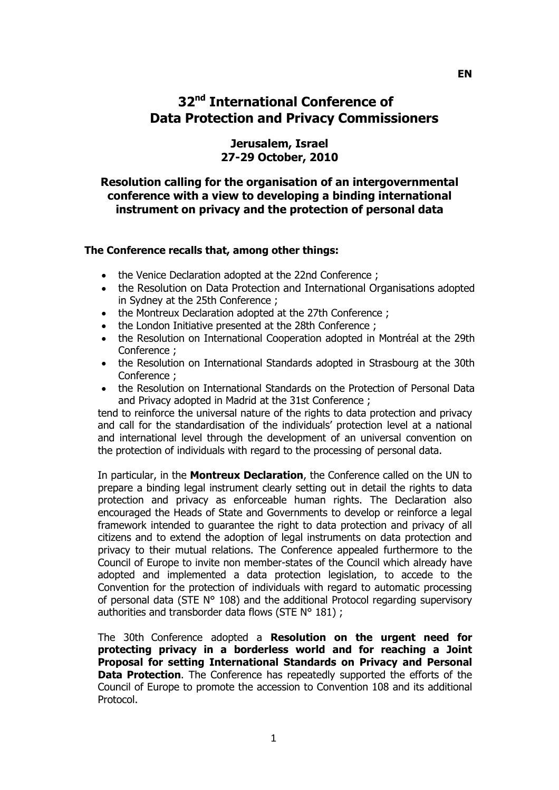# **32nd International Conference of Data Protection and Privacy Commissioners**

## **Jerusalem, Israel 27-29 October, 2010**

### **Resolution calling for the organisation of an intergovernmental conference with a view to developing a binding international instrument on privacy and the protection of personal data**

#### **The Conference recalls that, among other things:**

- the Venice Declaration adopted at the 22nd Conference ;
- the Resolution on Data Protection and International Organisations adopted in Sydney at the 25th Conference ;
- the Montreux Declaration adopted at the 27th Conference ;
- the London Initiative presented at the 28th Conference ;
- the Resolution on International Cooperation adopted in Montréal at the 29th Conference ;
- the Resolution on International Standards adopted in Strasbourg at the 30th Conference ;
- the Resolution on International Standards on the Protection of Personal Data and Privacy adopted in Madrid at the 31st Conference ;

tend to reinforce the universal nature of the rights to data protection and privacy and call for the standardisation of the individuals' protection level at a national and international level through the development of an universal convention on the protection of individuals with regard to the processing of personal data.

In particular, in the **Montreux Declaration**, the Conference called on the UN to prepare a binding legal instrument clearly setting out in detail the rights to data protection and privacy as enforceable human rights. The Declaration also encouraged the Heads of State and Governments to develop or reinforce a legal framework intended to guarantee the right to data protection and privacy of all citizens and to extend the adoption of legal instruments on data protection and privacy to their mutual relations. The Conference appealed furthermore to the Council of Europe to invite non member-states of the Council which already have adopted and implemented a data protection legislation, to accede to the Convention for the protection of individuals with regard to automatic processing of personal data (STE N° 108) and the additional Protocol regarding supervisory authorities and transborder data flows (STE N° 181) ;

The 30th Conference adopted a **Resolution on the urgent need for protecting privacy in a borderless world and for reaching a Joint Proposal for setting International Standards on Privacy and Personal Data Protection**. The Conference has repeatedly supported the efforts of the Council of Europe to promote the accession to Convention 108 and its additional Protocol.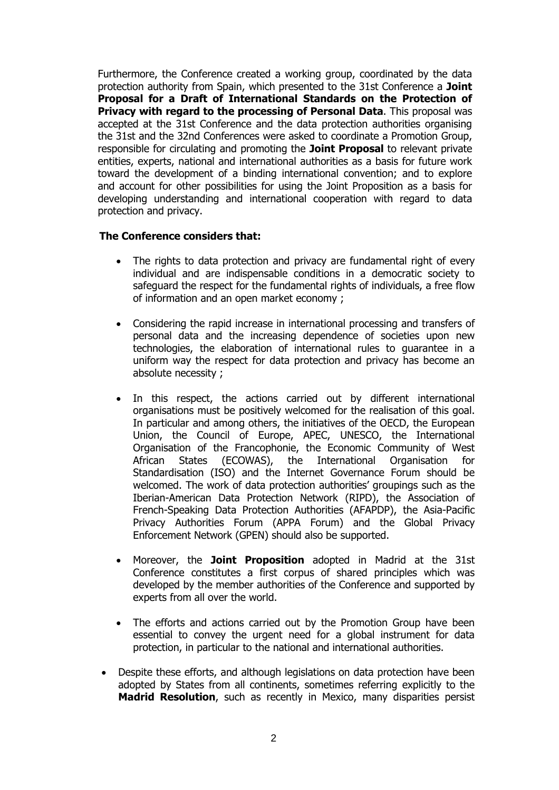Furthermore, the Conference created a working group, coordinated by the data protection authority from Spain, which presented to the 31st Conference a **Joint Proposal for a Draft of International Standards on the Protection of Privacy with regard to the processing of Personal Data**. This proposal was accepted at the 31st Conference and the data protection authorities organising the 31st and the 32nd Conferences were asked to coordinate a Promotion Group, responsible for circulating and promoting the **Joint Proposal** to relevant private entities, experts, national and international authorities as a basis for future work toward the development of a binding international convention; and to explore and account for other possibilities for using the Joint Proposition as a basis for developing understanding and international cooperation with regard to data protection and privacy.

#### **The Conference considers that:**

- The rights to data protection and privacy are fundamental right of every individual and are indispensable conditions in a democratic society to safeguard the respect for the fundamental rights of individuals, a free flow of information and an open market economy ;
- Considering the rapid increase in international processing and transfers of personal data and the increasing dependence of societies upon new technologies, the elaboration of international rules to guarantee in a uniform way the respect for data protection and privacy has become an absolute necessity ;
- In this respect, the actions carried out by different international organisations must be positively welcomed for the realisation of this goal. In particular and among others, the initiatives of the OECD, the European Union, the Council of Europe, APEC, UNESCO, the International Organisation of the Francophonie, the Economic Community of West African States (ECOWAS), the International Organisation for Standardisation (ISO) and the Internet Governance Forum should be welcomed. The work of data protection authorities' groupings such as the Iberian-American Data Protection Network (RIPD), the Association of French-Speaking Data Protection Authorities (AFAPDP), the Asia-Pacific Privacy Authorities Forum (APPA Forum) and the Global Privacy Enforcement Network (GPEN) should also be supported.
- Moreover, the **Joint Proposition** adopted in Madrid at the 31st Conference constitutes a first corpus of shared principles which was developed by the member authorities of the Conference and supported by experts from all over the world.
- The efforts and actions carried out by the Promotion Group have been essential to convey the urgent need for a global instrument for data protection, in particular to the national and international authorities.
- Despite these efforts, and although legislations on data protection have been adopted by States from all continents, sometimes referring explicitly to the **Madrid Resolution**, such as recently in Mexico, many disparities persist